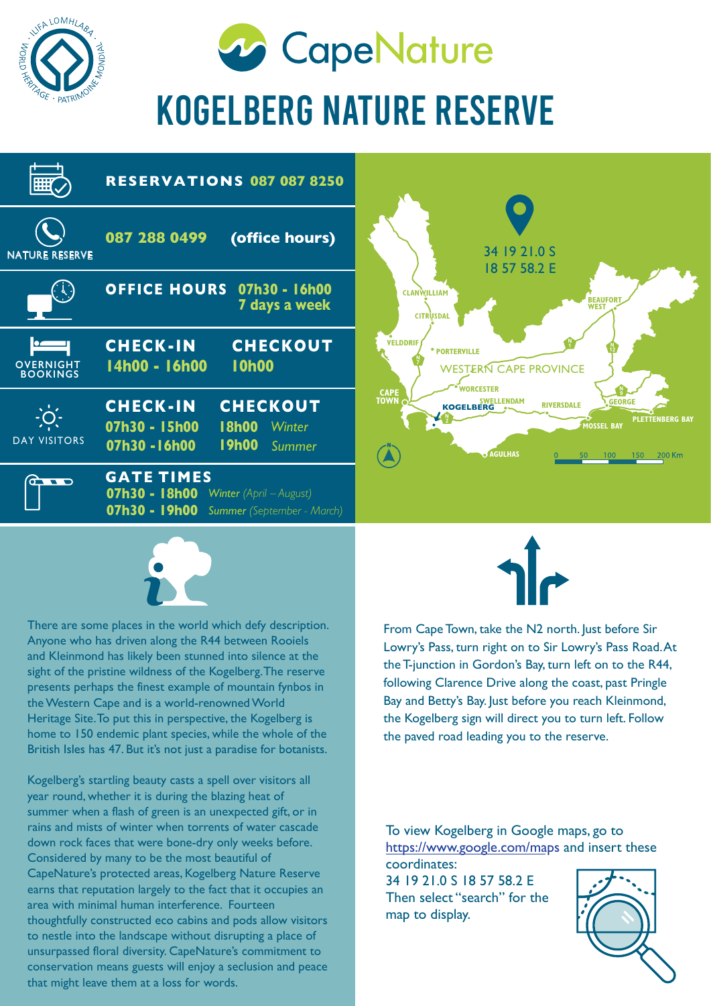

**20 CapeNature** 

## KOGELBERG NATURE RESERVE





There are some places in the world which defy description. Anyone who has driven along the R44 between Rooiels and Kleinmond has likely been stunned into silence at the sight of the pristine wildness of the Kogelberg. The reserve presents perhaps the finest example of mountain fynbos in the Western Cape and is a world-renowned World Heritage Site. To put this in perspective, the Kogelberg is home to 150 endemic plant species, while the whole of the British Isles has 47. But it's not just a paradise for botanists.

Kogelberg's startling beauty casts a spell over visitors all year round, whether it is during the blazing heat of summer when a flash of green is an unexpected gift, or in rains and mists of winter when torrents of water cascade down rock faces that were bone-dry only weeks before. Considered by many to be the most beautiful of CapeNature's protected areas, Kogelberg Nature Reserve earns that reputation largely to the fact that it occupies an area with minimal human interference. Fourteen thoughtfully constructed eco cabins and pods allow visitors to nestle into the landscape without disrupting a place of unsurpassed floral diversity. CapeNature's commitment to conservation means guests will enjoy a seclusion and peace that might leave them at a loss for words.



From Cape Town, take the N2 north. Just before Sir Lowry's Pass, turn right on to Sir Lowry's Pass Road. At the T-junction in Gordon's Bay, turn left on to the R44, following Clarence Drive along the coast, past Pringle Bay and Betty's Bay. Just before you reach Kleinmond, the Kogelberg sign will direct you to turn left. Follow the paved road leading you to the reserve.

To view Kogelberg in Google maps, go to https://www.google.com/maps and insert these coordinates:

34 19 21.0 S 18 57 58.2 E Then select "search" for the map to display.

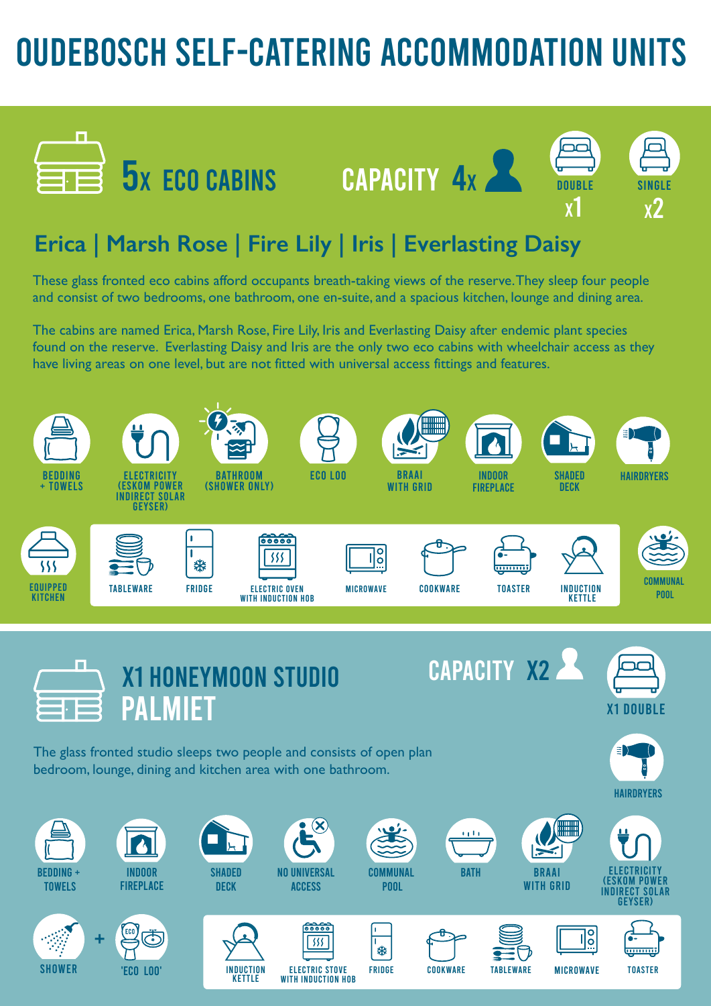## OUDEBOSCH SELF-CATERING ACCOMMODATION UNITS



![](_page_1_Picture_2.jpeg)

![](_page_1_Picture_3.jpeg)

X1

### **Erica | Marsh Rose | Fire Lily | Iris | Everlasting Daisy**

These glass fronted eco cabins afford occupants breath-taking views of the reserve. They sleep four people and consist of two bedrooms, one bathroom, one en-suite, and a spacious kitchen, lounge and dining area.

The cabins are named Erica, Marsh Rose, Fire Lily, Iris and Everlasting Daisy after endemic plant species found on the reserve. Everlasting Daisy and Iris are the only two eco cabins with wheelchair access as they have living areas on one level, but are not fitted with universal access fittings and features.

![](_page_1_Figure_7.jpeg)

ELECTRIC STOVE WITH INDUCTION HOB .<br>楽

INDUCTION KETTLE

FRIDGE COOKWARE TABLEWARE MICROWAVE TOASTER

 $\overline{1}$ 

![](_page_1_Picture_8.jpeg)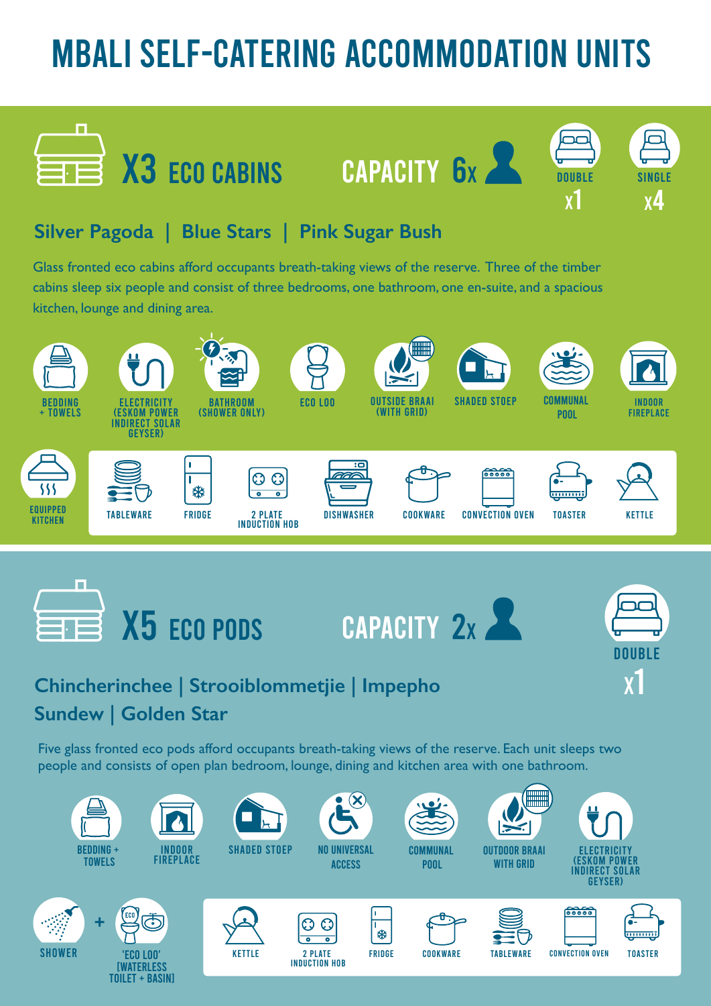# MBALI SELF-CATERING ACCOMMODATION UNITS

DOUBLE

 $\overline{\phantom{a}}$ 

SINGLE

X4

DOUBLE

X1

 $\mathbf{X}$ <sup> $\mathbf{I}$ </sup>

### **Silver Pagoda | Blue Stars | Pink Sugar Bush**

Glass fronted eco cabins afford occupants breath-taking views of the reserve. Three of the timber cabins sleep six people and consist of three bedrooms, one bathroom, one en-suite, and a spacious kitchen, lounge and dining area.

X3 ECO CABINS CAPACITY 6x

![](_page_2_Figure_3.jpeg)

### **Chincherinchee | Strooiblommetjie | Impepho Sundew | Golden Star**

Five glass fronted eco pods afford occupants breath-taking views of the reserve. Each unit sleeps two people and consists of open plan bedroom, lounge, dining and kitchen area with one bathroom.

![](_page_2_Figure_6.jpeg)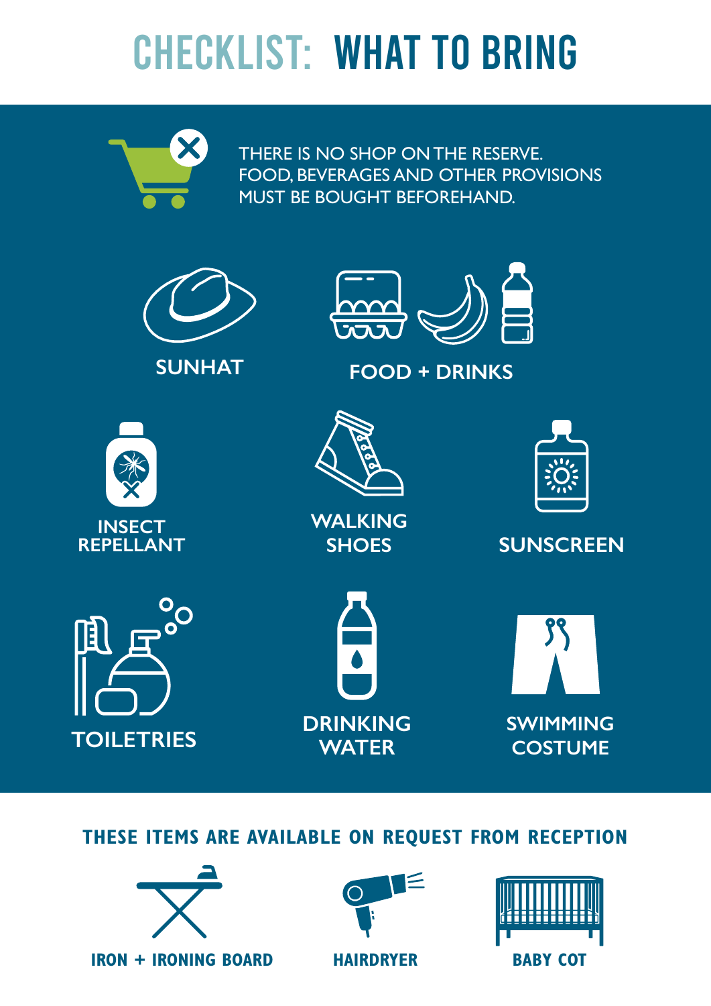# CHECKLIST: WHAT TO BRING

![](_page_3_Picture_1.jpeg)

THERE IS NO SHOP ON THE RESERVE. FOOD, BEVERAGES AND OTHER PROVISIONS MUST BE BOUGHT BEFOREHAND.

![](_page_3_Picture_3.jpeg)

### **THESE ITEMS ARE AVAILABLE ON REQUEST FROM RECEPTION**

![](_page_3_Picture_5.jpeg)

**IRON + IRONING BOARD HAIRDRYER BABY COT**

![](_page_3_Picture_7.jpeg)

![](_page_3_Picture_8.jpeg)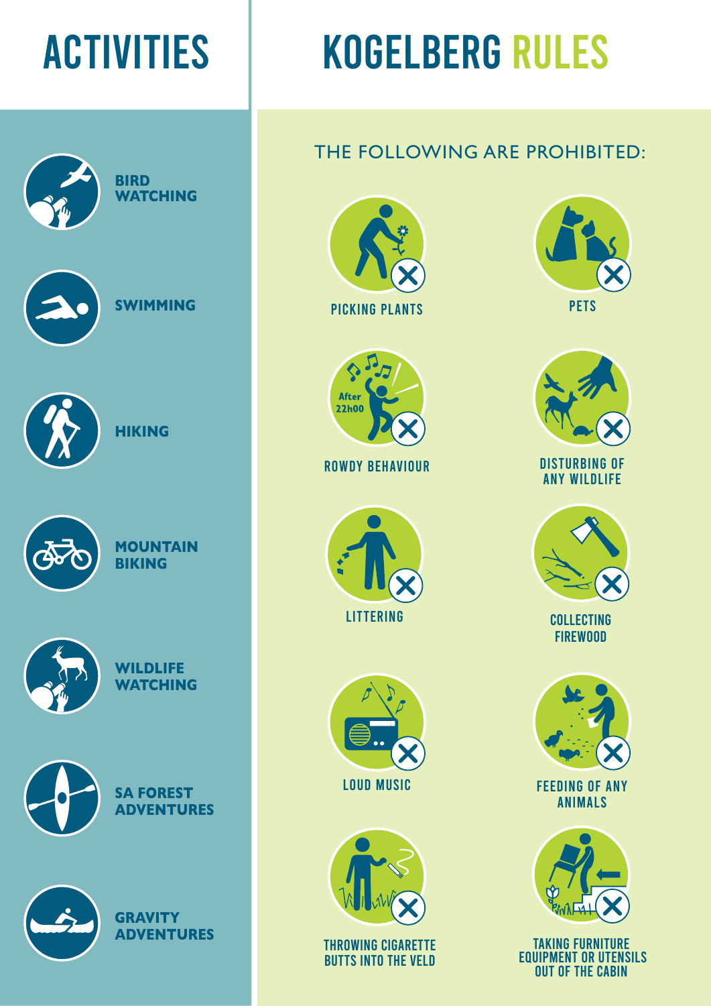![](_page_4_Picture_1.jpeg)

# ACTIVITIES | KOGELBERG RULES

### THE FOLLOWING ARE PROHIBITED:

![](_page_4_Picture_4.jpeg)

PICKING PLANTS PETS

![](_page_4_Picture_6.jpeg)

ROWDY BEHAVIOUR

![](_page_4_Picture_8.jpeg)

![](_page_4_Picture_9.jpeg)

![](_page_4_Picture_10.jpeg)

THROWING CIGARETTE BUTTS INTO THE VELD

![](_page_4_Picture_12.jpeg)

![](_page_4_Picture_13.jpeg)

DISTURBING OF ANY WILDLIFE

![](_page_4_Picture_15.jpeg)

**COLLECTING** FIREWOOD

![](_page_4_Picture_17.jpeg)

FEEDING OF ANY ANIMALS

![](_page_4_Picture_19.jpeg)

TAKING FURNITURE EQUIPMENT OR UTENSILS OUT OF THE CABIN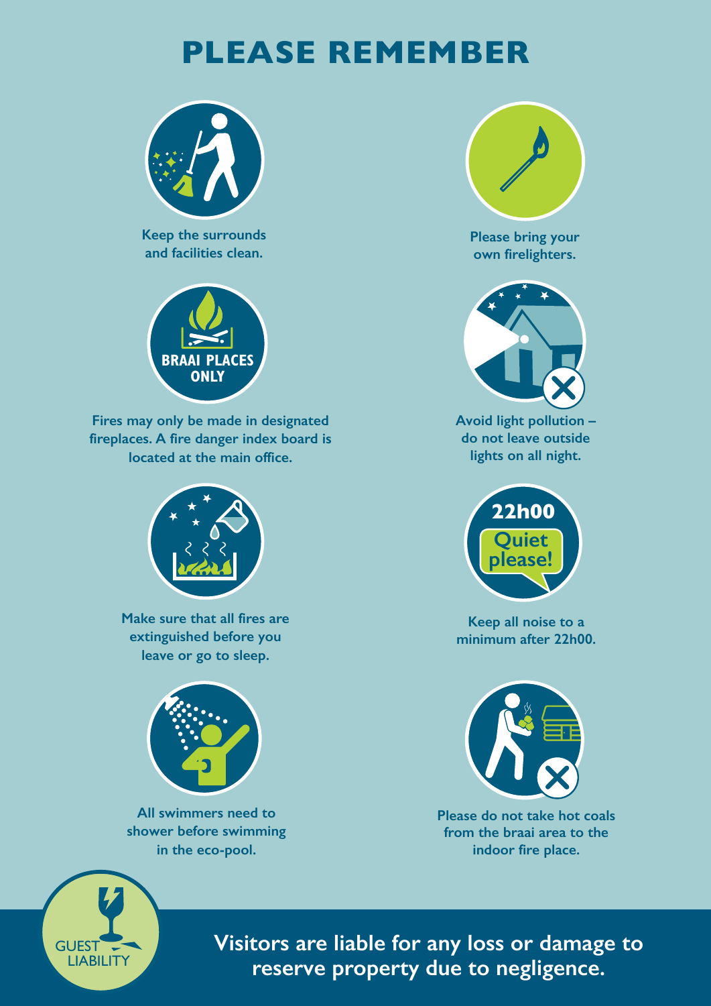### **PLEASE REMEMBER**

![](_page_5_Picture_1.jpeg)

**Keep the surrounds and facilities clean.**

![](_page_5_Picture_3.jpeg)

**Fires may only be made in designated fireplaces. A fire danger index board is located at the main office.** 

![](_page_5_Picture_5.jpeg)

**Make sure that all fires are extinguished before you leave or go to sleep.**

![](_page_5_Picture_7.jpeg)

**All swimmers need to shower before swimming in the eco-pool.**

![](_page_5_Picture_9.jpeg)

**Please bring your own firelighters.**

![](_page_5_Picture_11.jpeg)

**Avoid light pollution – do not leave outside lights on all night.**

![](_page_5_Picture_13.jpeg)

**Keep all noise to a minimum after 22h00.**

![](_page_5_Picture_15.jpeg)

**Please do not take hot coals from the braai area to the indoor fire place.** 

![](_page_5_Picture_17.jpeg)

**Visitors are liable for any loss or damage to reserve property due to negligence.**